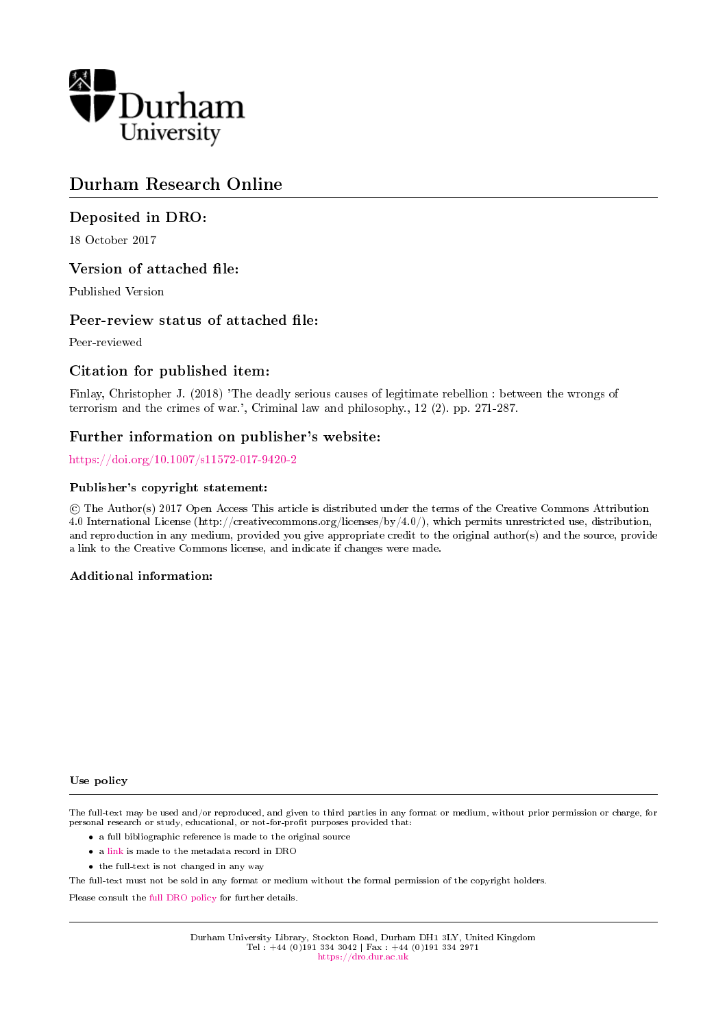

# Durham Research Online

# Deposited in DRO:

18 October 2017

# Version of attached file:

Published Version

# Peer-review status of attached file:

Peer-reviewed

# Citation for published item:

Finlay, Christopher J. (2018) 'The deadly serious causes of legitimate rebellion : between the wrongs of terrorism and the crimes of war.', Criminal law and philosophy., 12 (2). pp. 271-287.

# Further information on publisher's website:

<https://doi.org/10.1007/s11572-017-9420-2>

## Publisher's copyright statement:

 c The Author(s) 2017 Open Access This article is distributed under the terms of the Creative Commons Attribution 4.0 International License (http://creativecommons.org/licenses/by/4.0/), which permits unrestricted use, distribution, and reproduction in any medium, provided you give appropriate credit to the original author(s) and the source, provide a link to the Creative Commons license, and indicate if changes were made.

# Additional information:

### Use policy

The full-text may be used and/or reproduced, and given to third parties in any format or medium, without prior permission or charge, for personal research or study, educational, or not-for-profit purposes provided that:

- a full bibliographic reference is made to the original source
- a [link](http://dro.dur.ac.uk/23241/) is made to the metadata record in DRO
- the full-text is not changed in any way

The full-text must not be sold in any format or medium without the formal permission of the copyright holders.

Please consult the [full DRO policy](https://dro.dur.ac.uk/policies/usepolicy.pdf) for further details.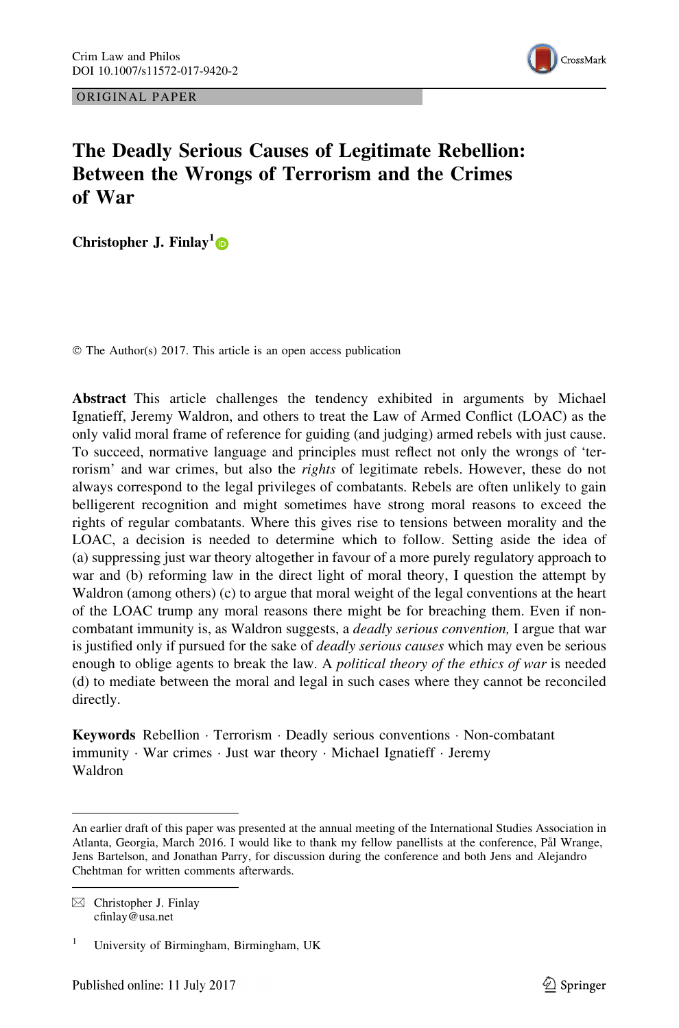ORIGINAL PAPER



# The Deadly Serious Causes of Legitimate Rebellion: Between the Wrongs of Terrorism and the Crimes of War

Christopher J. Finlay<sup>1</sup>

© The Author(s) 2017. This article is an open access publication

Abstract This article challenges the tendency exhibited in arguments by Michael Ignatieff, Jeremy Waldron, and others to treat the Law of Armed Conflict (LOAC) as the only valid moral frame of reference for guiding (and judging) armed rebels with just cause. To succeed, normative language and principles must reflect not only the wrongs of 'terrorism' and war crimes, but also the *rights* of legitimate rebels. However, these do not always correspond to the legal privileges of combatants. Rebels are often unlikely to gain belligerent recognition and might sometimes have strong moral reasons to exceed the rights of regular combatants. Where this gives rise to tensions between morality and the LOAC, a decision is needed to determine which to follow. Setting aside the idea of (a) suppressing just war theory altogether in favour of a more purely regulatory approach to war and (b) reforming law in the direct light of moral theory, I question the attempt by Waldron (among others) (c) to argue that moral weight of the legal conventions at the heart of the LOAC trump any moral reasons there might be for breaching them. Even if noncombatant immunity is, as Waldron suggests, a *deadly serious convention*, I argue that war is justified only if pursued for the sake of *deadly serious causes* which may even be serious enough to oblige agents to break the law. A political theory of the ethics of war is needed (d) to mediate between the moral and legal in such cases where they cannot be reconciled directly.

Keywords Rebellion - Terrorism - Deadly serious conventions - Non-combatant immunity - War crimes - Just war theory - Michael Ignatieff - Jeremy Waldron

An earlier draft of this paper was presented at the annual meeting of the International Studies Association in Atlanta, Georgia, March 2016. I would like to thank my fellow panellists at the conference, Pål Wrange, Jens Bartelson, and Jonathan Parry, for discussion during the conference and both Jens and Alejandro Chehtman for written comments afterwards.

 $\boxtimes$  Christopher J. Finlay cfinlay@usa.net

<sup>&</sup>lt;sup>1</sup> University of Birmingham, Birmingham, UK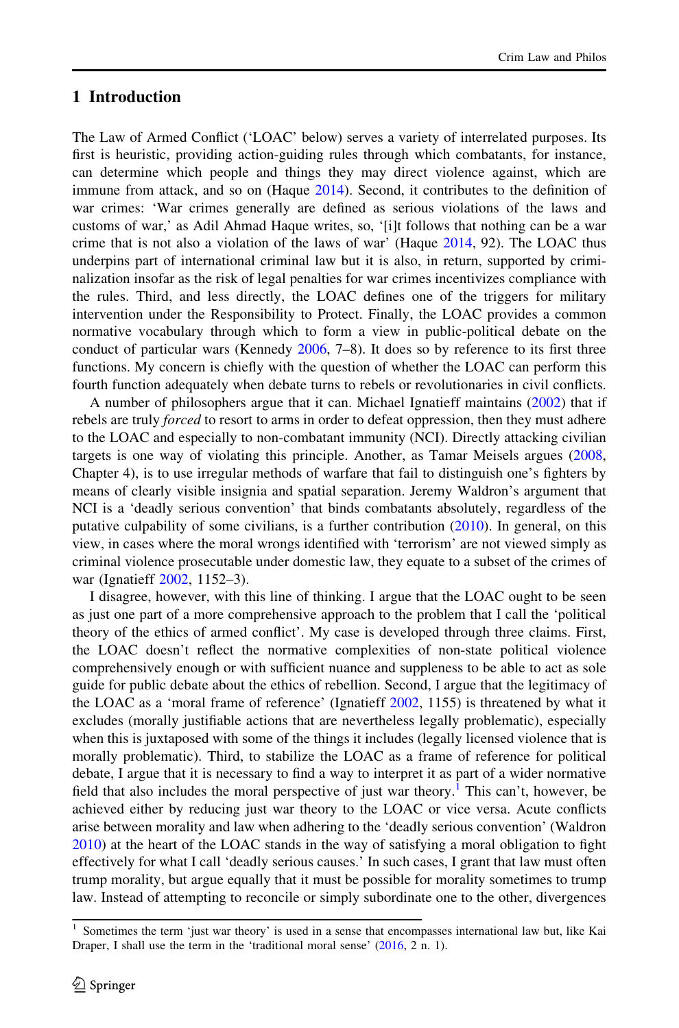### 1 Introduction

The Law of Armed Conflict ('LOAC' below) serves a variety of interrelated purposes. Its first is heuristic, providing action-guiding rules through which combatants, for instance, can determine which people and things they may direct violence against, which are immune from attack, and so on (Haque [2014\)](#page-16-0). Second, it contributes to the definition of war crimes: 'War crimes generally are defined as serious violations of the laws and customs of war,' as Adil Ahmad Haque writes, so, '[i]t follows that nothing can be a war crime that is not also a violation of the laws of war' (Haque [2014,](#page-16-0) 92). The LOAC thus underpins part of international criminal law but it is also, in return, supported by criminalization insofar as the risk of legal penalties for war crimes incentivizes compliance with the rules. Third, and less directly, the LOAC defines one of the triggers for military intervention under the Responsibility to Protect. Finally, the LOAC provides a common normative vocabulary through which to form a view in public-political debate on the conduct of particular wars (Kennedy [2006,](#page-16-0) 7–8). It does so by reference to its first three functions. My concern is chiefly with the question of whether the LOAC can perform this fourth function adequately when debate turns to rebels or revolutionaries in civil conflicts.

A number of philosophers argue that it can. Michael Ignatieff maintains [\(2002](#page-16-0)) that if rebels are truly *forced* to resort to arms in order to defeat oppression, then they must adhere to the LOAC and especially to non-combatant immunity (NCI). Directly attacking civilian targets is one way of violating this principle. Another, as Tamar Meisels argues [\(2008](#page-17-0), Chapter 4), is to use irregular methods of warfare that fail to distinguish one's fighters by means of clearly visible insignia and spatial separation. Jeremy Waldron's argument that NCI is a 'deadly serious convention' that binds combatants absolutely, regardless of the putative culpability of some civilians, is a further contribution [\(2010](#page-17-0)). In general, on this view, in cases where the moral wrongs identified with 'terrorism' are not viewed simply as criminal violence prosecutable under domestic law, they equate to a subset of the crimes of war (Ignatieff [2002](#page-16-0), 1152–3).

I disagree, however, with this line of thinking. I argue that the LOAC ought to be seen as just one part of a more comprehensive approach to the problem that I call the 'political theory of the ethics of armed conflict'. My case is developed through three claims. First, the LOAC doesn't reflect the normative complexities of non-state political violence comprehensively enough or with sufficient nuance and suppleness to be able to act as sole guide for public debate about the ethics of rebellion. Second, I argue that the legitimacy of the LOAC as a 'moral frame of reference' (Ignatieff [2002](#page-16-0), 1155) is threatened by what it excludes (morally justifiable actions that are nevertheless legally problematic), especially when this is juxtaposed with some of the things it includes (legally licensed violence that is morally problematic). Third, to stabilize the LOAC as a frame of reference for political debate, I argue that it is necessary to find a way to interpret it as part of a wider normative field that also includes the moral perspective of just war theory.<sup>1</sup> This can't, however, be achieved either by reducing just war theory to the LOAC or vice versa. Acute conflicts arise between morality and law when adhering to the 'deadly serious convention' (Waldron [2010\)](#page-17-0) at the heart of the LOAC stands in the way of satisfying a moral obligation to fight effectively for what I call 'deadly serious causes.' In such cases, I grant that law must often trump morality, but argue equally that it must be possible for morality sometimes to trump law. Instead of attempting to reconcile or simply subordinate one to the other, divergences

<sup>1</sup> Sometimes the term 'just war theory' is used in a sense that encompasses international law but, like Kai Draper, I shall use the term in the 'traditional moral sense' [\(2016](#page-16-0), 2 n. 1).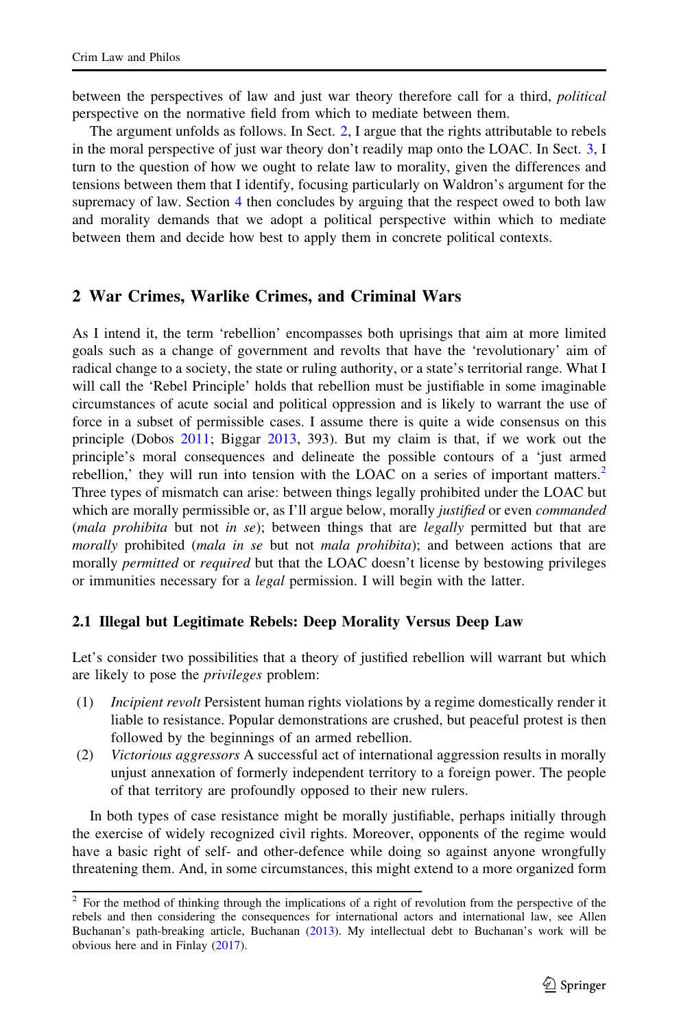<span id="page-3-0"></span>between the perspectives of law and just war theory therefore call for a third, *political* perspective on the normative field from which to mediate between them.

The argument unfolds as follows. In Sect. 2, I argue that the rights attributable to rebels in the moral perspective of just war theory don't readily map onto the LOAC. In Sect. [3](#page-10-0), I turn to the question of how we ought to relate law to morality, given the differences and tensions between them that I identify, focusing particularly on Waldron's argument for the supremacy of law. Section [4](#page-15-0) then concludes by arguing that the respect owed to both law and morality demands that we adopt a political perspective within which to mediate between them and decide how best to apply them in concrete political contexts.

#### 2 War Crimes, Warlike Crimes, and Criminal Wars

As I intend it, the term 'rebellion' encompasses both uprisings that aim at more limited goals such as a change of government and revolts that have the 'revolutionary' aim of radical change to a society, the state or ruling authority, or a state's territorial range. What I will call the 'Rebel Principle' holds that rebellion must be justifiable in some imaginable circumstances of acute social and political oppression and is likely to warrant the use of force in a subset of permissible cases. I assume there is quite a wide consensus on this principle (Dobos [2011](#page-16-0); Biggar [2013](#page-16-0), 393). But my claim is that, if we work out the principle's moral consequences and delineate the possible contours of a 'just armed rebellion,' they will run into tension with the LOAC on a series of important matters. $<sup>2</sup>$ </sup> Three types of mismatch can arise: between things legally prohibited under the LOAC but which are morally permissible or, as I'll argue below, morally justified or even *commanded* (mala prohibita but not in se); between things that are legally permitted but that are morally prohibited (mala in se but not mala prohibita); and between actions that are morally *permitted* or *required* but that the LOAC doesn't license by bestowing privileges or immunities necessary for a *legal* permission. I will begin with the latter.

### 2.1 Illegal but Legitimate Rebels: Deep Morality Versus Deep Law

Let's consider two possibilities that a theory of justified rebellion will warrant but which are likely to pose the *privileges* problem:

- (1) Incipient revolt Persistent human rights violations by a regime domestically render it liable to resistance. Popular demonstrations are crushed, but peaceful protest is then followed by the beginnings of an armed rebellion.
- (2) Victorious aggressors A successful act of international aggression results in morally unjust annexation of formerly independent territory to a foreign power. The people of that territory are profoundly opposed to their new rulers.

In both types of case resistance might be morally justifiable, perhaps initially through the exercise of widely recognized civil rights. Moreover, opponents of the regime would have a basic right of self- and other-defence while doing so against anyone wrongfully threatening them. And, in some circumstances, this might extend to a more organized form

<sup>&</sup>lt;sup>2</sup> For the method of thinking through the implications of a right of revolution from the perspective of the rebels and then considering the consequences for international actors and international law, see Allen Buchanan's path-breaking article, Buchanan ([2013\)](#page-16-0). My intellectual debt to Buchanan's work will be obvious here and in Finlay ([2017\)](#page-16-0).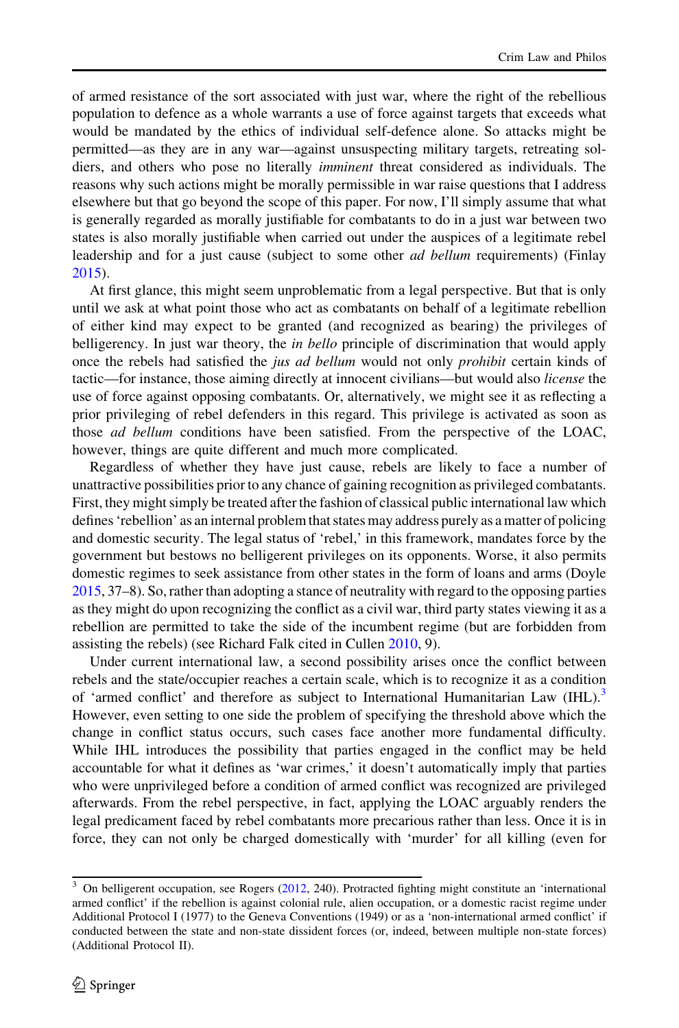of armed resistance of the sort associated with just war, where the right of the rebellious population to defence as a whole warrants a use of force against targets that exceeds what would be mandated by the ethics of individual self-defence alone. So attacks might be permitted—as they are in any war—against unsuspecting military targets, retreating soldiers, and others who pose no literally imminent threat considered as individuals. The reasons why such actions might be morally permissible in war raise questions that I address elsewhere but that go beyond the scope of this paper. For now, I'll simply assume that what is generally regarded as morally justifiable for combatants to do in a just war between two states is also morally justifiable when carried out under the auspices of a legitimate rebel leadership and for a just cause (subject to some other *ad bellum* requirements) (Finlay [2015\)](#page-16-0).

At first glance, this might seem unproblematic from a legal perspective. But that is only until we ask at what point those who act as combatants on behalf of a legitimate rebellion of either kind may expect to be granted (and recognized as bearing) the privileges of belligerency. In just war theory, the *in bello* principle of discrimination that would apply once the rebels had satisfied the *jus ad bellum* would not only *prohibit* certain kinds of tactic—for instance, those aiming directly at innocent civilians—but would also license the use of force against opposing combatants. Or, alternatively, we might see it as reflecting a prior privileging of rebel defenders in this regard. This privilege is activated as soon as those ad bellum conditions have been satisfied. From the perspective of the LOAC, however, things are quite different and much more complicated.

Regardless of whether they have just cause, rebels are likely to face a number of unattractive possibilities prior to any chance of gaining recognition as privileged combatants. First, they might simply be treated after the fashion of classical public international law which defines 'rebellion' as an internal problem that states may address purely as a matter of policing and domestic security. The legal status of 'rebel,' in this framework, mandates force by the government but bestows no belligerent privileges on its opponents. Worse, it also permits domestic regimes to seek assistance from other states in the form of loans and arms (Doyle [2015,](#page-16-0) 37–8). So, rather than adopting a stance of neutrality with regard to the opposing parties as they might do upon recognizing the conflict as a civil war, third party states viewing it as a rebellion are permitted to take the side of the incumbent regime (but are forbidden from assisting the rebels) (see Richard Falk cited in Cullen [2010](#page-16-0), 9).

Under current international law, a second possibility arises once the conflict between rebels and the state/occupier reaches a certain scale, which is to recognize it as a condition of 'armed conflict' and therefore as subject to International Humanitarian Law (IHL).<sup>3</sup> However, even setting to one side the problem of specifying the threshold above which the change in conflict status occurs, such cases face another more fundamental difficulty. While IHL introduces the possibility that parties engaged in the conflict may be held accountable for what it defines as 'war crimes,' it doesn't automatically imply that parties who were unprivileged before a condition of armed conflict was recognized are privileged afterwards. From the rebel perspective, in fact, applying the LOAC arguably renders the legal predicament faced by rebel combatants more precarious rather than less. Once it is in force, they can not only be charged domestically with 'murder' for all killing (even for

<sup>3</sup> On belligerent occupation, see Rogers ([2012,](#page-17-0) 240). Protracted fighting might constitute an 'international armed conflict' if the rebellion is against colonial rule, alien occupation, or a domestic racist regime under Additional Protocol I (1977) to the Geneva Conventions (1949) or as a 'non-international armed conflict' if conducted between the state and non-state dissident forces (or, indeed, between multiple non-state forces) (Additional Protocol II).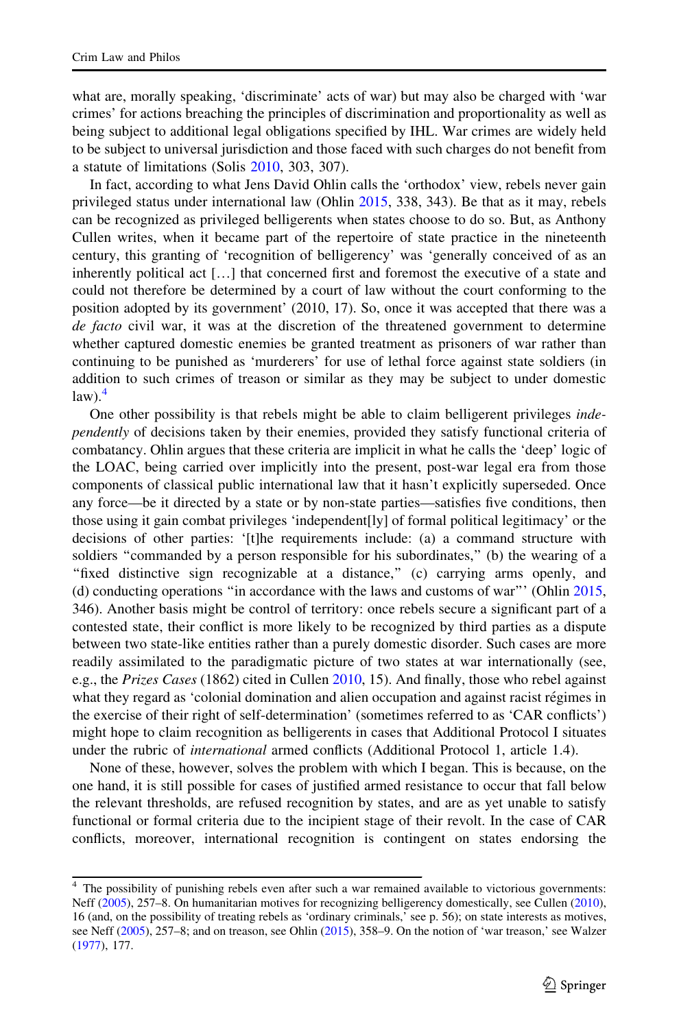what are, morally speaking, 'discriminate' acts of war) but may also be charged with 'war crimes' for actions breaching the principles of discrimination and proportionality as well as being subject to additional legal obligations specified by IHL. War crimes are widely held to be subject to universal jurisdiction and those faced with such charges do not benefit from a statute of limitations (Solis [2010](#page-17-0), 303, 307).

In fact, according to what Jens David Ohlin calls the 'orthodox' view, rebels never gain privileged status under international law (Ohlin [2015](#page-17-0), 338, 343). Be that as it may, rebels can be recognized as privileged belligerents when states choose to do so. But, as Anthony Cullen writes, when it became part of the repertoire of state practice in the nineteenth century, this granting of 'recognition of belligerency' was 'generally conceived of as an inherently political act […] that concerned first and foremost the executive of a state and could not therefore be determined by a court of law without the court conforming to the position adopted by its government' (2010, 17). So, once it was accepted that there was a de facto civil war, it was at the discretion of the threatened government to determine whether captured domestic enemies be granted treatment as prisoners of war rather than continuing to be punished as 'murderers' for use of lethal force against state soldiers (in addition to such crimes of treason or similar as they may be subject to under domestic  $law$ ).<sup>4</sup>

One other possibility is that rebels might be able to claim belligerent privileges independently of decisions taken by their enemies, provided they satisfy functional criteria of combatancy. Ohlin argues that these criteria are implicit in what he calls the 'deep' logic of the LOAC, being carried over implicitly into the present, post-war legal era from those components of classical public international law that it hasn't explicitly superseded. Once any force—be it directed by a state or by non-state parties—satisfies five conditions, then those using it gain combat privileges 'independent[ly] of formal political legitimacy' or the decisions of other parties: '[t]he requirements include: (a) a command structure with soldiers "commanded by a person responsible for his subordinates," (b) the wearing of a "fixed distinctive sign recognizable at a distance," (c) carrying arms openly, and (d) conducting operations ''in accordance with the laws and customs of war''' (Ohlin [2015](#page-17-0), 346). Another basis might be control of territory: once rebels secure a significant part of a contested state, their conflict is more likely to be recognized by third parties as a dispute between two state-like entities rather than a purely domestic disorder. Such cases are more readily assimilated to the paradigmatic picture of two states at war internationally (see, e.g., the Prizes Cases (1862) cited in Cullen [2010](#page-16-0), 15). And finally, those who rebel against what they regard as 'colonial domination and alien occupation and against racist régimes in the exercise of their right of self-determination' (sometimes referred to as 'CAR conflicts') might hope to claim recognition as belligerents in cases that Additional Protocol I situates under the rubric of international armed conflicts (Additional Protocol 1, article 1.4).

None of these, however, solves the problem with which I began. This is because, on the one hand, it is still possible for cases of justified armed resistance to occur that fall below the relevant thresholds, are refused recognition by states, and are as yet unable to satisfy functional or formal criteria due to the incipient stage of their revolt. In the case of CAR conflicts, moreover, international recognition is contingent on states endorsing the

<sup>&</sup>lt;sup>4</sup> The possibility of punishing rebels even after such a war remained available to victorious governments: Neff [\(2005\)](#page-17-0), 257–8. On humanitarian motives for recognizing belligerency domestically, see Cullen [\(2010\)](#page-16-0), 16 (and, on the possibility of treating rebels as 'ordinary criminals,' see p. 56); on state interests as motives, see Neff [\(2005](#page-17-0)), 257–8; and on treason, see Ohlin [\(2015](#page-17-0)), 358–9. On the notion of 'war treason,' see Walzer [\(1977](#page-17-0)), 177.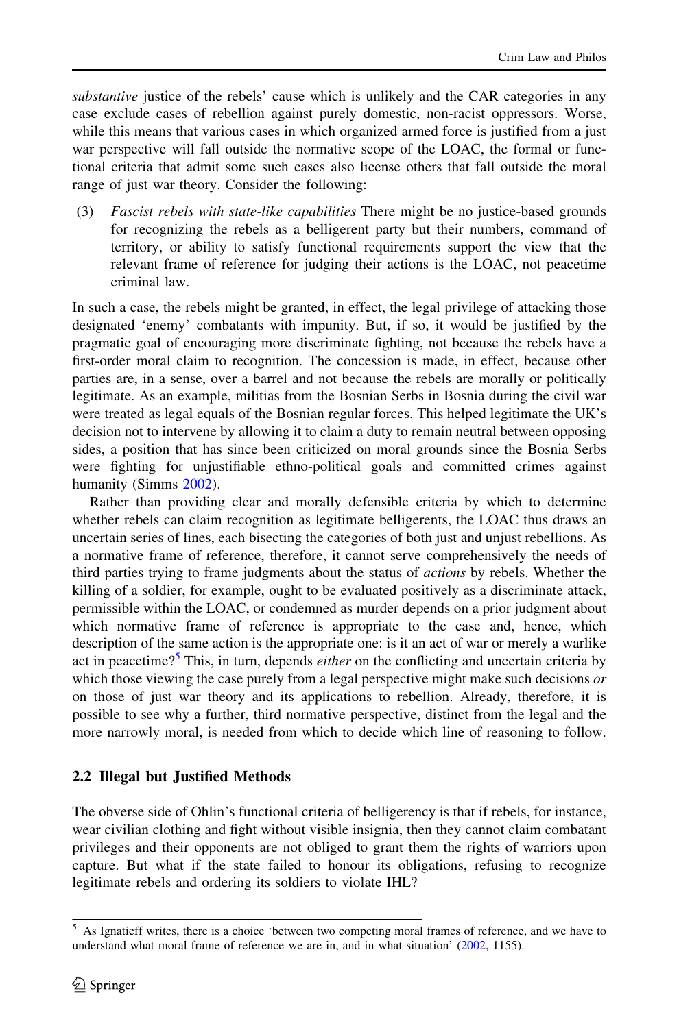<span id="page-6-0"></span>substantive justice of the rebels' cause which is unlikely and the CAR categories in any case exclude cases of rebellion against purely domestic, non-racist oppressors. Worse, while this means that various cases in which organized armed force is justified from a just war perspective will fall outside the normative scope of the LOAC, the formal or functional criteria that admit some such cases also license others that fall outside the moral range of just war theory. Consider the following:

(3) Fascist rebels with state-like capabilities There might be no justice-based grounds for recognizing the rebels as a belligerent party but their numbers, command of territory, or ability to satisfy functional requirements support the view that the relevant frame of reference for judging their actions is the LOAC, not peacetime criminal law.

In such a case, the rebels might be granted, in effect, the legal privilege of attacking those designated 'enemy' combatants with impunity. But, if so, it would be justified by the pragmatic goal of encouraging more discriminate fighting, not because the rebels have a first-order moral claim to recognition. The concession is made, in effect, because other parties are, in a sense, over a barrel and not because the rebels are morally or politically legitimate. As an example, militias from the Bosnian Serbs in Bosnia during the civil war were treated as legal equals of the Bosnian regular forces. This helped legitimate the UK's decision not to intervene by allowing it to claim a duty to remain neutral between opposing sides, a position that has since been criticized on moral grounds since the Bosnia Serbs were fighting for unjustifiable ethno-political goals and committed crimes against humanity (Simms [2002](#page-17-0)).

Rather than providing clear and morally defensible criteria by which to determine whether rebels can claim recognition as legitimate belligerents, the LOAC thus draws an uncertain series of lines, each bisecting the categories of both just and unjust rebellions. As a normative frame of reference, therefore, it cannot serve comprehensively the needs of third parties trying to frame judgments about the status of actions by rebels. Whether the killing of a soldier, for example, ought to be evaluated positively as a discriminate attack, permissible within the LOAC, or condemned as murder depends on a prior judgment about which normative frame of reference is appropriate to the case and, hence, which description of the same action is the appropriate one: is it an act of war or merely a warlike act in peacetime?<sup>5</sup> This, in turn, depends *either* on the conflicting and uncertain criteria by which those viewing the case purely from a legal perspective might make such decisions  $\sigma r$ on those of just war theory and its applications to rebellion. Already, therefore, it is possible to see why a further, third normative perspective, distinct from the legal and the more narrowly moral, is needed from which to decide which line of reasoning to follow.

### 2.2 Illegal but Justified Methods

The obverse side of Ohlin's functional criteria of belligerency is that if rebels, for instance, wear civilian clothing and fight without visible insignia, then they cannot claim combatant privileges and their opponents are not obliged to grant them the rights of warriors upon capture. But what if the state failed to honour its obligations, refusing to recognize legitimate rebels and ordering its soldiers to violate IHL?

<sup>5</sup> As Ignatieff writes, there is a choice 'between two competing moral frames of reference, and we have to understand what moral frame of reference we are in, and in what situation' ([2002](#page-16-0), 1155).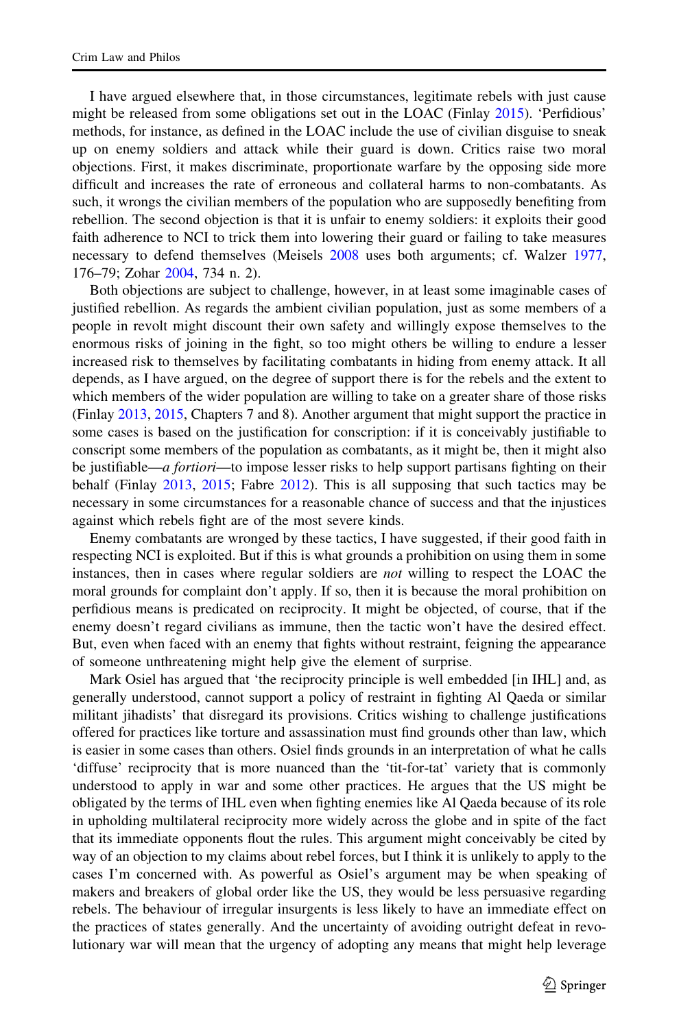I have argued elsewhere that, in those circumstances, legitimate rebels with just cause might be released from some obligations set out in the LOAC (Finlay [2015](#page-16-0)). 'Perfidious' methods, for instance, as defined in the LOAC include the use of civilian disguise to sneak up on enemy soldiers and attack while their guard is down. Critics raise two moral objections. First, it makes discriminate, proportionate warfare by the opposing side more difficult and increases the rate of erroneous and collateral harms to non-combatants. As such, it wrongs the civilian members of the population who are supposedly benefiting from rebellion. The second objection is that it is unfair to enemy soldiers: it exploits their good faith adherence to NCI to trick them into lowering their guard or failing to take measures necessary to defend themselves (Meisels [2008](#page-17-0) uses both arguments; cf. Walzer [1977](#page-17-0), 176–79; Zohar [2004,](#page-17-0) 734 n. 2).

Both objections are subject to challenge, however, in at least some imaginable cases of justified rebellion. As regards the ambient civilian population, just as some members of a people in revolt might discount their own safety and willingly expose themselves to the enormous risks of joining in the fight, so too might others be willing to endure a lesser increased risk to themselves by facilitating combatants in hiding from enemy attack. It all depends, as I have argued, on the degree of support there is for the rebels and the extent to which members of the wider population are willing to take on a greater share of those risks (Finlay [2013](#page-16-0), [2015](#page-16-0), Chapters 7 and 8). Another argument that might support the practice in some cases is based on the justification for conscription: if it is conceivably justifiable to conscript some members of the population as combatants, as it might be, then it might also be justifiable—a fortiori—to impose lesser risks to help support partisans fighting on their behalf (Finlay [2013](#page-16-0), [2015;](#page-16-0) Fabre [2012](#page-16-0)). This is all supposing that such tactics may be necessary in some circumstances for a reasonable chance of success and that the injustices against which rebels fight are of the most severe kinds.

Enemy combatants are wronged by these tactics, I have suggested, if their good faith in respecting NCI is exploited. But if this is what grounds a prohibition on using them in some instances, then in cases where regular soldiers are *not* willing to respect the LOAC the moral grounds for complaint don't apply. If so, then it is because the moral prohibition on perfidious means is predicated on reciprocity. It might be objected, of course, that if the enemy doesn't regard civilians as immune, then the tactic won't have the desired effect. But, even when faced with an enemy that fights without restraint, feigning the appearance of someone unthreatening might help give the element of surprise.

Mark Osiel has argued that 'the reciprocity principle is well embedded [in IHL] and, as generally understood, cannot support a policy of restraint in fighting Al Qaeda or similar militant jihadists' that disregard its provisions. Critics wishing to challenge justifications offered for practices like torture and assassination must find grounds other than law, which is easier in some cases than others. Osiel finds grounds in an interpretation of what he calls 'diffuse' reciprocity that is more nuanced than the 'tit-for-tat' variety that is commonly understood to apply in war and some other practices. He argues that the US might be obligated by the terms of IHL even when fighting enemies like Al Qaeda because of its role in upholding multilateral reciprocity more widely across the globe and in spite of the fact that its immediate opponents flout the rules. This argument might conceivably be cited by way of an objection to my claims about rebel forces, but I think it is unlikely to apply to the cases I'm concerned with. As powerful as Osiel's argument may be when speaking of makers and breakers of global order like the US, they would be less persuasive regarding rebels. The behaviour of irregular insurgents is less likely to have an immediate effect on the practices of states generally. And the uncertainty of avoiding outright defeat in revolutionary war will mean that the urgency of adopting any means that might help leverage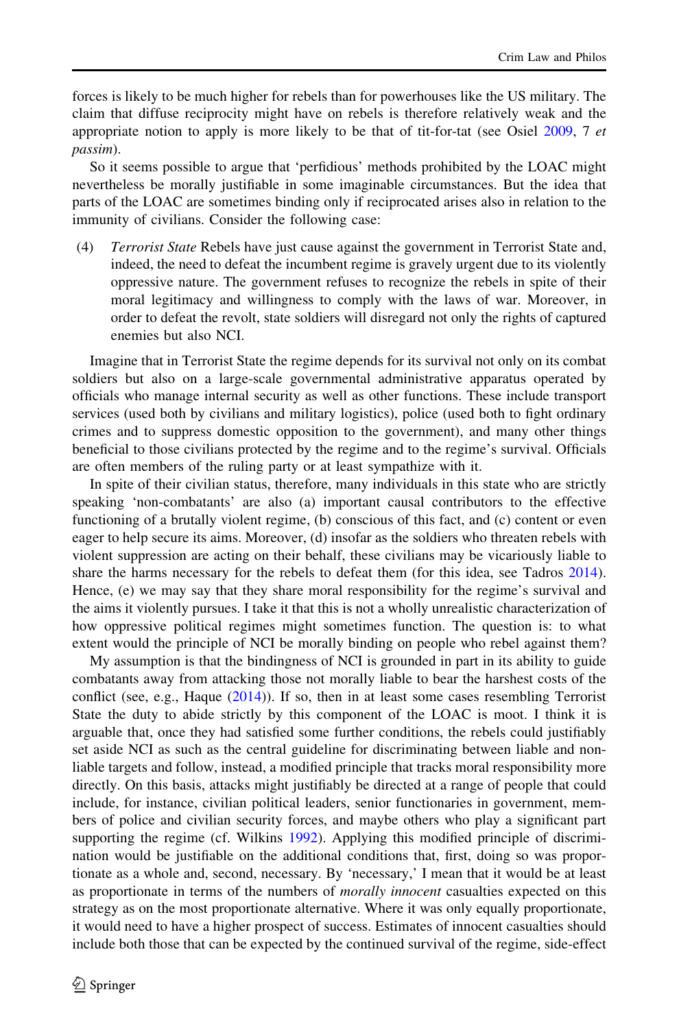forces is likely to be much higher for rebels than for powerhouses like the US military. The claim that diffuse reciprocity might have on rebels is therefore relatively weak and the appropriate notion to apply is more likely to be that of tit-for-tat (see Osiel [2009,](#page-17-0) 7 et passim).

So it seems possible to argue that 'perfidious' methods prohibited by the LOAC might nevertheless be morally justifiable in some imaginable circumstances. But the idea that parts of the LOAC are sometimes binding only if reciprocated arises also in relation to the immunity of civilians. Consider the following case:

(4) Terrorist State Rebels have just cause against the government in Terrorist State and, indeed, the need to defeat the incumbent regime is gravely urgent due to its violently oppressive nature. The government refuses to recognize the rebels in spite of their moral legitimacy and willingness to comply with the laws of war. Moreover, in order to defeat the revolt, state soldiers will disregard not only the rights of captured enemies but also NCI.

Imagine that in Terrorist State the regime depends for its survival not only on its combat soldiers but also on a large-scale governmental administrative apparatus operated by officials who manage internal security as well as other functions. These include transport services (used both by civilians and military logistics), police (used both to fight ordinary crimes and to suppress domestic opposition to the government), and many other things beneficial to those civilians protected by the regime and to the regime's survival. Officials are often members of the ruling party or at least sympathize with it.

In spite of their civilian status, therefore, many individuals in this state who are strictly speaking 'non-combatants' are also (a) important causal contributors to the effective functioning of a brutally violent regime, (b) conscious of this fact, and (c) content or even eager to help secure its aims. Moreover, (d) insofar as the soldiers who threaten rebels with violent suppression are acting on their behalf, these civilians may be vicariously liable to share the harms necessary for the rebels to defeat them (for this idea, see Tadros [2014](#page-17-0)). Hence, (e) we may say that they share moral responsibility for the regime's survival and the aims it violently pursues. I take it that this is not a wholly unrealistic characterization of how oppressive political regimes might sometimes function. The question is: to what extent would the principle of NCI be morally binding on people who rebel against them?

My assumption is that the bindingness of NCI is grounded in part in its ability to guide combatants away from attacking those not morally liable to bear the harshest costs of the conflict (see, e.g., Haque  $(2014)$  $(2014)$ ). If so, then in at least some cases resembling Terrorist State the duty to abide strictly by this component of the LOAC is moot. I think it is arguable that, once they had satisfied some further conditions, the rebels could justifiably set aside NCI as such as the central guideline for discriminating between liable and nonliable targets and follow, instead, a modified principle that tracks moral responsibility more directly. On this basis, attacks might justifiably be directed at a range of people that could include, for instance, civilian political leaders, senior functionaries in government, members of police and civilian security forces, and maybe others who play a significant part supporting the regime (cf. Wilkins [1992\)](#page-17-0). Applying this modified principle of discrimination would be justifiable on the additional conditions that, first, doing so was proportionate as a whole and, second, necessary. By 'necessary,' I mean that it would be at least as proportionate in terms of the numbers of *morally innocent* casualties expected on this strategy as on the most proportionate alternative. Where it was only equally proportionate, it would need to have a higher prospect of success. Estimates of innocent casualties should include both those that can be expected by the continued survival of the regime, side-effect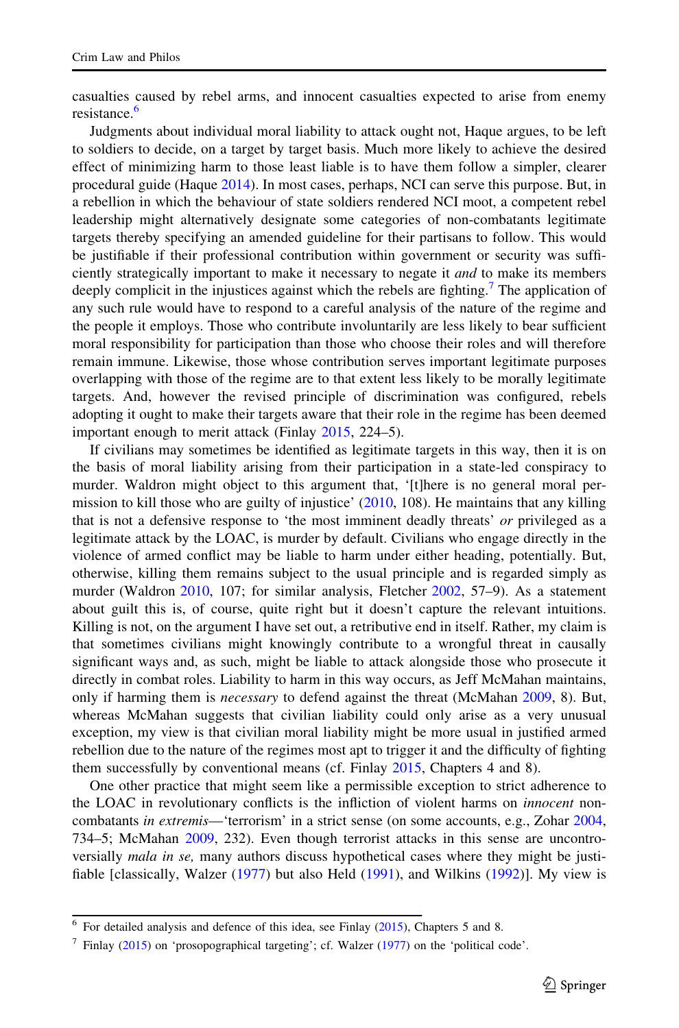casualties caused by rebel arms, and innocent casualties expected to arise from enemy resistance.<sup>6</sup>

Judgments about individual moral liability to attack ought not, Haque argues, to be left to soldiers to decide, on a target by target basis. Much more likely to achieve the desired effect of minimizing harm to those least liable is to have them follow a simpler, clearer procedural guide (Haque [2014](#page-16-0)). In most cases, perhaps, NCI can serve this purpose. But, in a rebellion in which the behaviour of state soldiers rendered NCI moot, a competent rebel leadership might alternatively designate some categories of non-combatants legitimate targets thereby specifying an amended guideline for their partisans to follow. This would be justifiable if their professional contribution within government or security was sufficiently strategically important to make it necessary to negate it *and* to make its members deeply complicit in the injustices against which the rebels are fighting.<sup>7</sup> The application of any such rule would have to respond to a careful analysis of the nature of the regime and the people it employs. Those who contribute involuntarily are less likely to bear sufficient moral responsibility for participation than those who choose their roles and will therefore remain immune. Likewise, those whose contribution serves important legitimate purposes overlapping with those of the regime are to that extent less likely to be morally legitimate targets. And, however the revised principle of discrimination was configured, rebels adopting it ought to make their targets aware that their role in the regime has been deemed important enough to merit attack (Finlay [2015](#page-16-0), 224–5).

If civilians may sometimes be identified as legitimate targets in this way, then it is on the basis of moral liability arising from their participation in a state-led conspiracy to murder. Waldron might object to this argument that, '[t]here is no general moral permission to kill those who are guilty of injustice' ([2010,](#page-17-0) 108). He maintains that any killing that is not a defensive response to 'the most imminent deadly threats' or privileged as a legitimate attack by the LOAC, is murder by default. Civilians who engage directly in the violence of armed conflict may be liable to harm under either heading, potentially. But, otherwise, killing them remains subject to the usual principle and is regarded simply as murder (Waldron [2010,](#page-17-0) 107; for similar analysis, Fletcher [2002,](#page-16-0) 57–9). As a statement about guilt this is, of course, quite right but it doesn't capture the relevant intuitions. Killing is not, on the argument I have set out, a retributive end in itself. Rather, my claim is that sometimes civilians might knowingly contribute to a wrongful threat in causally significant ways and, as such, might be liable to attack alongside those who prosecute it directly in combat roles. Liability to harm in this way occurs, as Jeff McMahan maintains, only if harming them is necessary to defend against the threat (McMahan [2009](#page-16-0), 8). But, whereas McMahan suggests that civilian liability could only arise as a very unusual exception, my view is that civilian moral liability might be more usual in justified armed rebellion due to the nature of the regimes most apt to trigger it and the difficulty of fighting them successfully by conventional means (cf. Finlay [2015](#page-16-0), Chapters 4 and 8).

One other practice that might seem like a permissible exception to strict adherence to the LOAC in revolutionary conflicts is the infliction of violent harms on *innocent* non-combatants in extremis—'terrorism' in a strict sense (on some accounts, e.g., Zohar [2004](#page-17-0), 734–5; McMahan [2009,](#page-16-0) 232). Even though terrorist attacks in this sense are uncontroversially mala in se, many authors discuss hypothetical cases where they might be justifiable [classically, Walzer [\(1977](#page-17-0)) but also Held ([1991\)](#page-16-0), and Wilkins ([1992\)](#page-17-0)]. My view is

<sup>6</sup> For detailed analysis and defence of this idea, see Finlay [\(2015](#page-16-0)), Chapters 5 and 8.

<sup>7</sup> Finlay [\(2015](#page-16-0)) on 'prosopographical targeting'; cf. Walzer [\(1977\)](#page-17-0) on the 'political code'.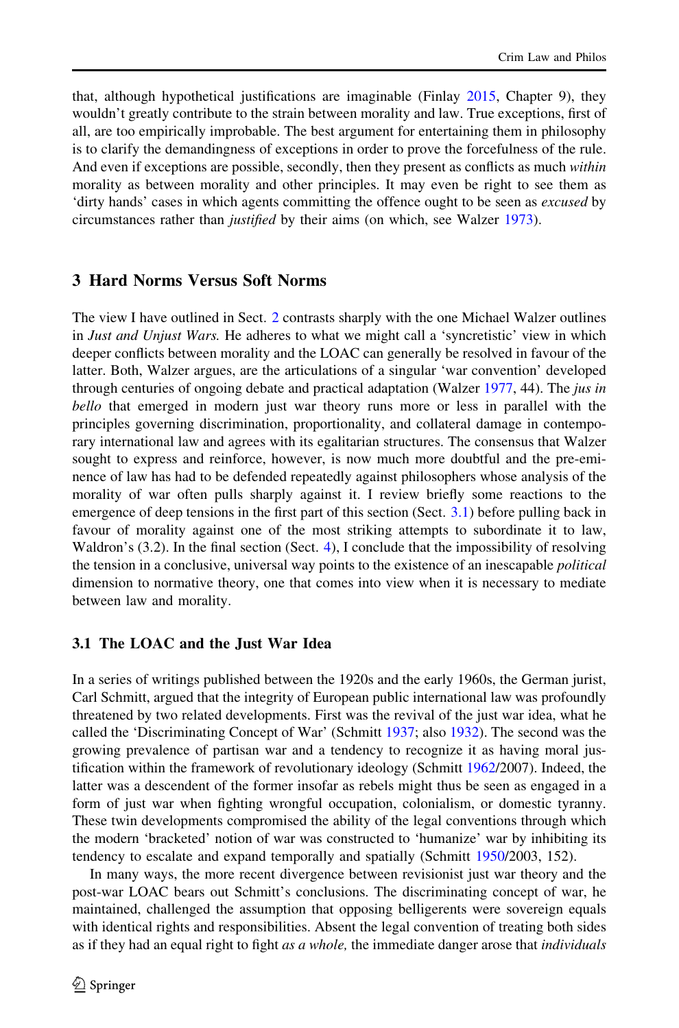<span id="page-10-0"></span>that, although hypothetical justifications are imaginable (Finlay [2015](#page-16-0), Chapter 9), they wouldn't greatly contribute to the strain between morality and law. True exceptions, first of all, are too empirically improbable. The best argument for entertaining them in philosophy is to clarify the demandingness of exceptions in order to prove the forcefulness of the rule. And even if exceptions are possible, secondly, then they present as conflicts as much within morality as between morality and other principles. It may even be right to see them as 'dirty hands' cases in which agents committing the offence ought to be seen as excused by circumstances rather than justified by their aims (on which, see Walzer [1973](#page-17-0)).

### 3 Hard Norms Versus Soft Norms

The view I have outlined in Sect. [2](#page-3-0) contrasts sharply with the one Michael Walzer outlines in Just and Unjust Wars. He adheres to what we might call a 'syncretistic' view in which deeper conflicts between morality and the LOAC can generally be resolved in favour of the latter. Both, Walzer argues, are the articulations of a singular 'war convention' developed through centuries of ongoing debate and practical adaptation (Walzer [1977](#page-17-0), 44). The *jus in* bello that emerged in modern just war theory runs more or less in parallel with the principles governing discrimination, proportionality, and collateral damage in contemporary international law and agrees with its egalitarian structures. The consensus that Walzer sought to express and reinforce, however, is now much more doubtful and the pre-eminence of law has had to be defended repeatedly against philosophers whose analysis of the morality of war often pulls sharply against it. I review briefly some reactions to the emergence of deep tensions in the first part of this section (Sect. 3.1) before pulling back in favour of morality against one of the most striking attempts to subordinate it to law, Waldron's (3.2). In the final section (Sect. [4](#page-15-0)), I conclude that the impossibility of resolving the tension in a conclusive, universal way points to the existence of an inescapable *political* dimension to normative theory, one that comes into view when it is necessary to mediate between law and morality.

### 3.1 The LOAC and the Just War Idea

In a series of writings published between the 1920s and the early 1960s, the German jurist, Carl Schmitt, argued that the integrity of European public international law was profoundly threatened by two related developments. First was the revival of the just war idea, what he called the 'Discriminating Concept of War' (Schmitt [1937;](#page-17-0) also [1932](#page-17-0)). The second was the growing prevalence of partisan war and a tendency to recognize it as having moral justification within the framework of revolutionary ideology (Schmitt [1962/](#page-17-0)2007). Indeed, the latter was a descendent of the former insofar as rebels might thus be seen as engaged in a form of just war when fighting wrongful occupation, colonialism, or domestic tyranny. These twin developments compromised the ability of the legal conventions through which the modern 'bracketed' notion of war was constructed to 'humanize' war by inhibiting its tendency to escalate and expand temporally and spatially (Schmitt [1950/](#page-17-0)2003, 152).

In many ways, the more recent divergence between revisionist just war theory and the post-war LOAC bears out Schmitt's conclusions. The discriminating concept of war, he maintained, challenged the assumption that opposing belligerents were sovereign equals with identical rights and responsibilities. Absent the legal convention of treating both sides as if they had an equal right to fight as a whole, the immediate danger arose that *individuals*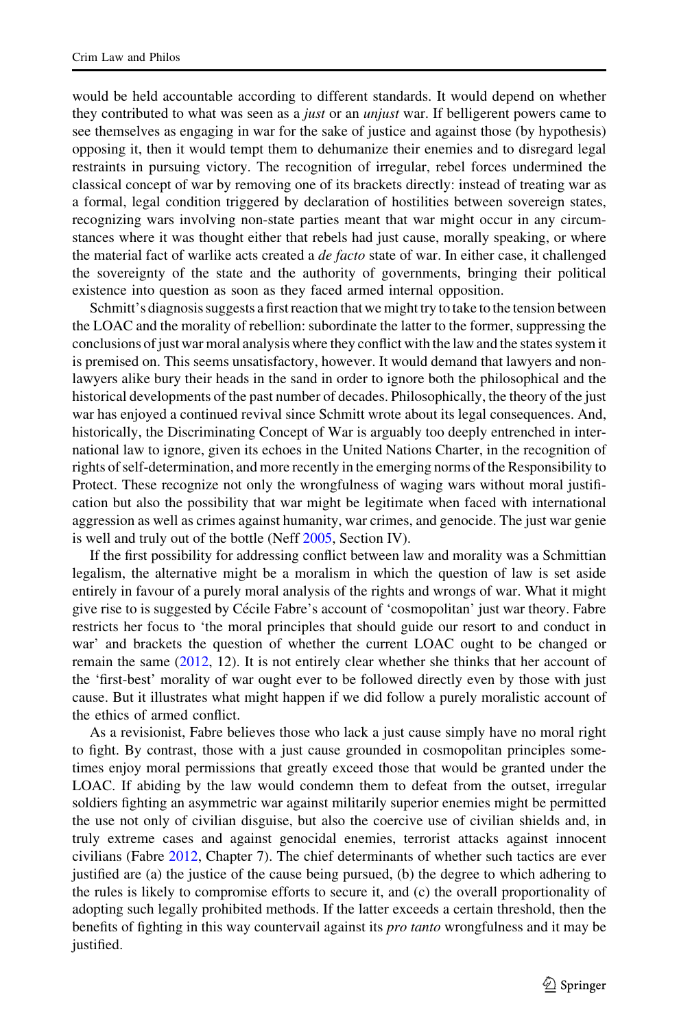would be held accountable according to different standards. It would depend on whether they contributed to what was seen as a *just* or an *unjust* war. If belligerent powers came to see themselves as engaging in war for the sake of justice and against those (by hypothesis) opposing it, then it would tempt them to dehumanize their enemies and to disregard legal restraints in pursuing victory. The recognition of irregular, rebel forces undermined the classical concept of war by removing one of its brackets directly: instead of treating war as a formal, legal condition triggered by declaration of hostilities between sovereign states, recognizing wars involving non-state parties meant that war might occur in any circumstances where it was thought either that rebels had just cause, morally speaking, or where the material fact of warlike acts created a *de facto* state of war. In either case, it challenged the sovereignty of the state and the authority of governments, bringing their political existence into question as soon as they faced armed internal opposition.

Schmitt's diagnosis suggests a first reaction that we might try to take to the tension between the LOAC and the morality of rebellion: subordinate the latter to the former, suppressing the conclusions of just war moral analysis where they conflict with the law and the states system it is premised on. This seems unsatisfactory, however. It would demand that lawyers and nonlawyers alike bury their heads in the sand in order to ignore both the philosophical and the historical developments of the past number of decades. Philosophically, the theory of the just war has enjoyed a continued revival since Schmitt wrote about its legal consequences. And, historically, the Discriminating Concept of War is arguably too deeply entrenched in international law to ignore, given its echoes in the United Nations Charter, in the recognition of rights of self-determination, and more recently in the emerging norms of the Responsibility to Protect. These recognize not only the wrongfulness of waging wars without moral justification but also the possibility that war might be legitimate when faced with international aggression as well as crimes against humanity, war crimes, and genocide. The just war genie is well and truly out of the bottle (Neff [2005](#page-17-0), Section IV).

If the first possibility for addressing conflict between law and morality was a Schmittian legalism, the alternative might be a moralism in which the question of law is set aside entirely in favour of a purely moral analysis of the rights and wrongs of war. What it might give rise to is suggested by Cécile Fabre's account of 'cosmopolitan' just war theory. Fabre restricts her focus to 'the moral principles that should guide our resort to and conduct in war' and brackets the question of whether the current LOAC ought to be changed or remain the same [\(2012](#page-16-0), 12). It is not entirely clear whether she thinks that her account of the 'first-best' morality of war ought ever to be followed directly even by those with just cause. But it illustrates what might happen if we did follow a purely moralistic account of the ethics of armed conflict.

As a revisionist, Fabre believes those who lack a just cause simply have no moral right to fight. By contrast, those with a just cause grounded in cosmopolitan principles sometimes enjoy moral permissions that greatly exceed those that would be granted under the LOAC. If abiding by the law would condemn them to defeat from the outset, irregular soldiers fighting an asymmetric war against militarily superior enemies might be permitted the use not only of civilian disguise, but also the coercive use of civilian shields and, in truly extreme cases and against genocidal enemies, terrorist attacks against innocent civilians (Fabre [2012](#page-16-0), Chapter 7). The chief determinants of whether such tactics are ever justified are (a) the justice of the cause being pursued, (b) the degree to which adhering to the rules is likely to compromise efforts to secure it, and (c) the overall proportionality of adopting such legally prohibited methods. If the latter exceeds a certain threshold, then the benefits of fighting in this way countervail against its *pro tanto* wrongfulness and it may be justified.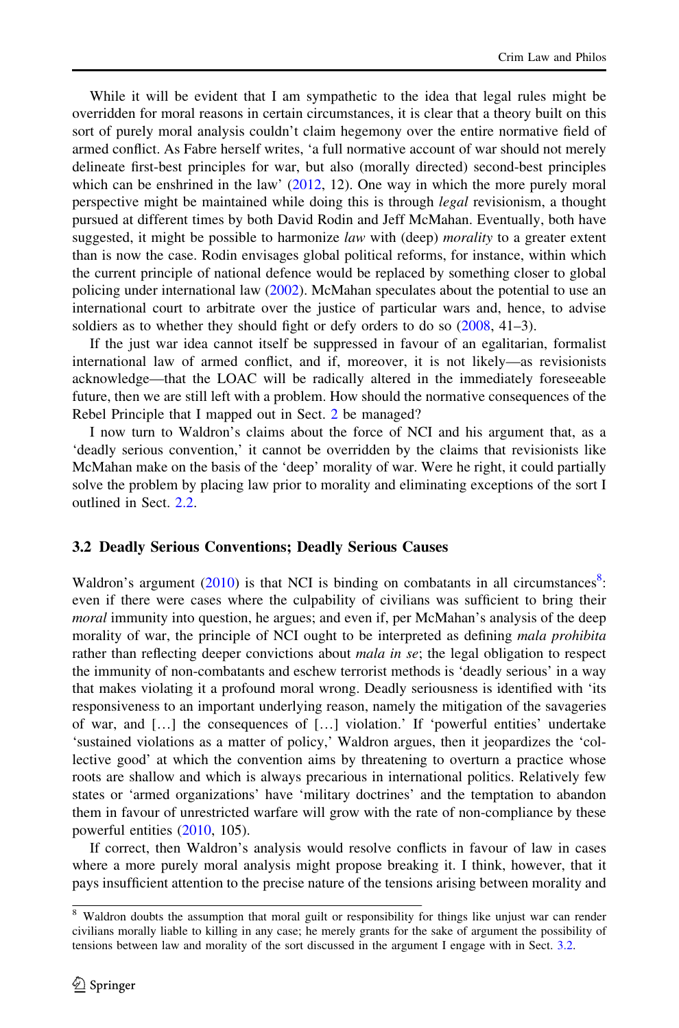While it will be evident that I am sympathetic to the idea that legal rules might be overridden for moral reasons in certain circumstances, it is clear that a theory built on this sort of purely moral analysis couldn't claim hegemony over the entire normative field of armed conflict. As Fabre herself writes, 'a full normative account of war should not merely delineate first-best principles for war, but also (morally directed) second-best principles which can be enshrined in the law'  $(2012, 12)$  $(2012, 12)$ . One way in which the more purely moral perspective might be maintained while doing this is through *legal* revisionism, a thought pursued at different times by both David Rodin and Jeff McMahan. Eventually, both have suggested, it might be possible to harmonize law with (deep) morality to a greater extent than is now the case. Rodin envisages global political reforms, for instance, within which the current principle of national defence would be replaced by something closer to global policing under international law ([2002\)](#page-17-0). McMahan speculates about the potential to use an international court to arbitrate over the justice of particular wars and, hence, to advise soldiers as to whether they should fight or defy orders to do so  $(2008, 41-3)$  $(2008, 41-3)$  $(2008, 41-3)$ .

If the just war idea cannot itself be suppressed in favour of an egalitarian, formalist international law of armed conflict, and if, moreover, it is not likely—as revisionists acknowledge—that the LOAC will be radically altered in the immediately foreseeable future, then we are still left with a problem. How should the normative consequences of the Rebel Principle that I mapped out in Sect. [2](#page-3-0) be managed?

I now turn to Waldron's claims about the force of NCI and his argument that, as a 'deadly serious convention,' it cannot be overridden by the claims that revisionists like McMahan make on the basis of the 'deep' morality of war. Were he right, it could partially solve the problem by placing law prior to morality and eliminating exceptions of the sort I outlined in Sect. [2.2](#page-6-0).

#### 3.2 Deadly Serious Conventions; Deadly Serious Causes

Waldron's argument  $(2010)$  $(2010)$  is that NCI is binding on combatants in all circumstances<sup>8</sup>: even if there were cases where the culpability of civilians was sufficient to bring their moral immunity into question, he argues; and even if, per McMahan's analysis of the deep morality of war, the principle of NCI ought to be interpreted as defining mala prohibita rather than reflecting deeper convictions about *mala in se*; the legal obligation to respect the immunity of non-combatants and eschew terrorist methods is 'deadly serious' in a way that makes violating it a profound moral wrong. Deadly seriousness is identified with 'its responsiveness to an important underlying reason, namely the mitigation of the savageries of war, and […] the consequences of […] violation.' If 'powerful entities' undertake 'sustained violations as a matter of policy,' Waldron argues, then it jeopardizes the 'collective good' at which the convention aims by threatening to overturn a practice whose roots are shallow and which is always precarious in international politics. Relatively few states or 'armed organizations' have 'military doctrines' and the temptation to abandon them in favour of unrestricted warfare will grow with the rate of non-compliance by these powerful entities ([2010,](#page-17-0) 105).

If correct, then Waldron's analysis would resolve conflicts in favour of law in cases where a more purely moral analysis might propose breaking it. I think, however, that it pays insufficient attention to the precise nature of the tensions arising between morality and

<sup>&</sup>lt;sup>8</sup> Waldron doubts the assumption that moral guilt or responsibility for things like unjust war can render civilians morally liable to killing in any case; he merely grants for the sake of argument the possibility of tensions between law and morality of the sort discussed in the argument I engage with in Sect. 3.2.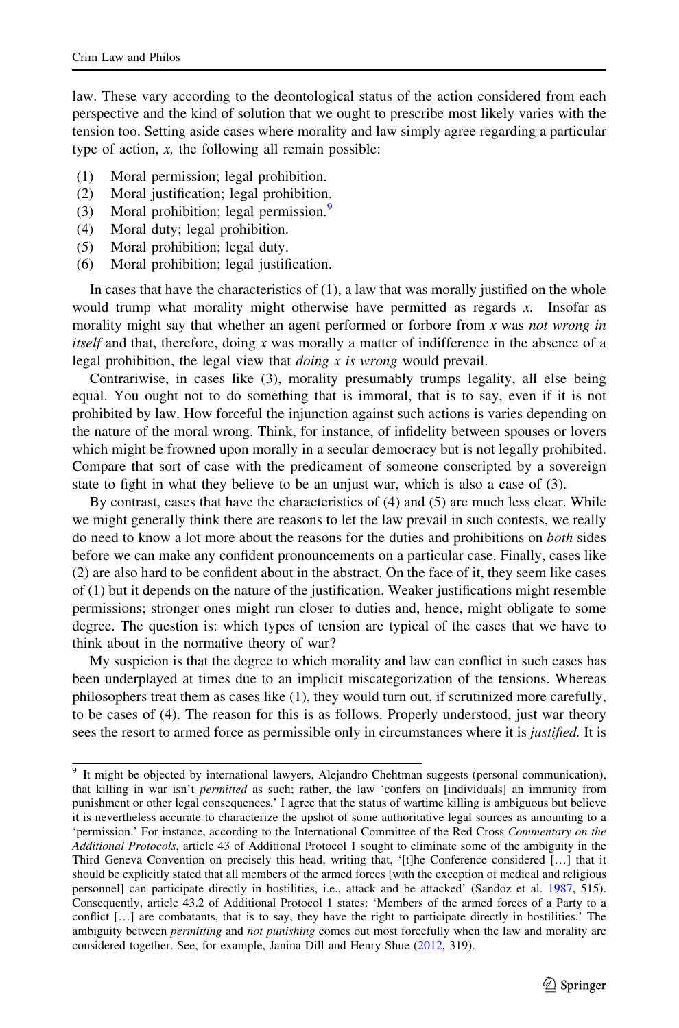law. These vary according to the deontological status of the action considered from each perspective and the kind of solution that we ought to prescribe most likely varies with the tension too. Setting aside cases where morality and law simply agree regarding a particular type of action,  $x$ , the following all remain possible:

- (1) Moral permission; legal prohibition.
- (2) Moral justification; legal prohibition.
- (3) Moral prohibition; legal permission.<sup>9</sup>
- (4) Moral duty; legal prohibition.
- (5) Moral prohibition; legal duty.
- (6) Moral prohibition; legal justification.

In cases that have the characteristics of (1), a law that was morally justified on the whole would trump what morality might otherwise have permitted as regards  $x$ . Insofar as morality might say that whether an agent performed or forbore from  $x$  was not wrong in itself and that, therefore, doing  $x$  was morally a matter of indifference in the absence of a legal prohibition, the legal view that *doing*  $x$  is wrong would prevail.

Contrariwise, in cases like (3), morality presumably trumps legality, all else being equal. You ought not to do something that is immoral, that is to say, even if it is not prohibited by law. How forceful the injunction against such actions is varies depending on the nature of the moral wrong. Think, for instance, of infidelity between spouses or lovers which might be frowned upon morally in a secular democracy but is not legally prohibited. Compare that sort of case with the predicament of someone conscripted by a sovereign state to fight in what they believe to be an unjust war, which is also a case of (3).

By contrast, cases that have the characteristics of (4) and (5) are much less clear. While we might generally think there are reasons to let the law prevail in such contests, we really do need to know a lot more about the reasons for the duties and prohibitions on both sides before we can make any confident pronouncements on a particular case. Finally, cases like (2) are also hard to be confident about in the abstract. On the face of it, they seem like cases of (1) but it depends on the nature of the justification. Weaker justifications might resemble permissions; stronger ones might run closer to duties and, hence, might obligate to some degree. The question is: which types of tension are typical of the cases that we have to think about in the normative theory of war?

My suspicion is that the degree to which morality and law can conflict in such cases has been underplayed at times due to an implicit miscategorization of the tensions. Whereas philosophers treat them as cases like (1), they would turn out, if scrutinized more carefully, to be cases of (4). The reason for this is as follows. Properly understood, just war theory sees the resort to armed force as permissible only in circumstances where it is *justified*. It is

<sup>&</sup>lt;sup>9</sup> It might be objected by international lawyers, Alejandro Chehtman suggests (personal communication), that killing in war isn't *permitted* as such; rather, the law 'confers on [individuals] an immunity from punishment or other legal consequences.' I agree that the status of wartime killing is ambiguous but believe it is nevertheless accurate to characterize the upshot of some authoritative legal sources as amounting to a 'permission.' For instance, according to the International Committee of the Red Cross Commentary on the Additional Protocols, article 43 of Additional Protocol 1 sought to eliminate some of the ambiguity in the Third Geneva Convention on precisely this head, writing that, '[t]he Conference considered […] that it should be explicitly stated that all members of the armed forces [with the exception of medical and religious personnel] can participate directly in hostilities, i.e., attack and be attacked' (Sandoz et al. [1987,](#page-17-0) 515). Consequently, article 43.2 of Additional Protocol 1 states: 'Members of the armed forces of a Party to a conflict […] are combatants, that is to say, they have the right to participate directly in hostilities.' The ambiguity between *permitting* and *not punishing* comes out most forcefully when the law and morality are considered together. See, for example, Janina Dill and Henry Shue ([2012](#page-16-0), 319).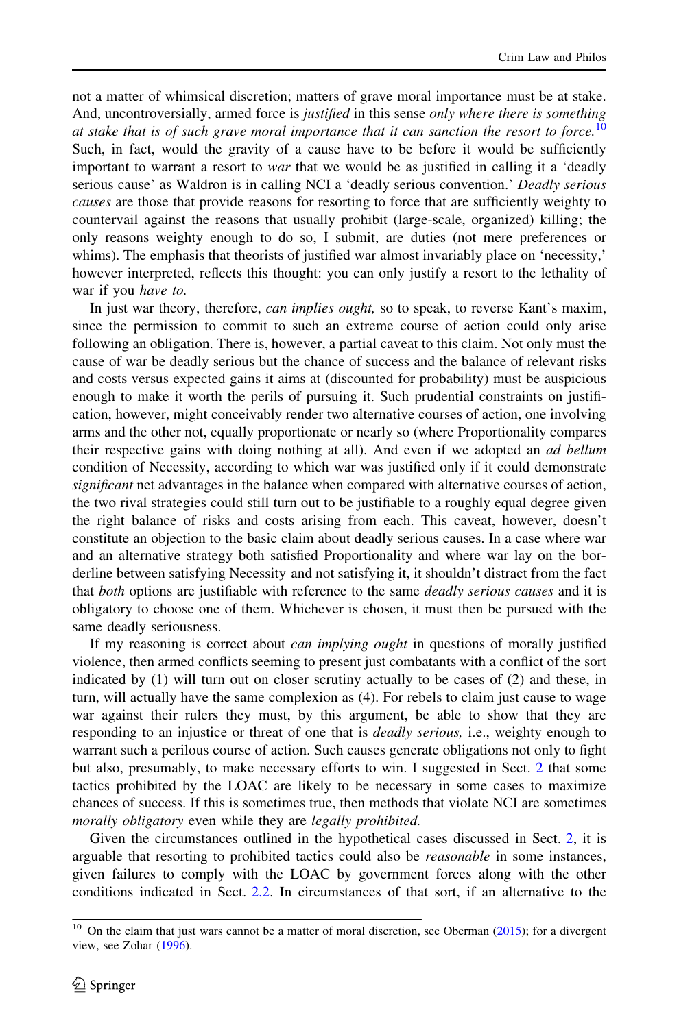not a matter of whimsical discretion; matters of grave moral importance must be at stake. And, uncontroversially, armed force is *justified* in this sense *only where there is something* at stake that is of such grave moral importance that it can sanction the resort to force.<sup>10</sup> Such, in fact, would the gravity of a cause have to be before it would be sufficiently important to warrant a resort to war that we would be as justified in calling it a 'deadly serious cause' as Waldron is in calling NCI a 'deadly serious convention.' Deadly serious causes are those that provide reasons for resorting to force that are sufficiently weighty to countervail against the reasons that usually prohibit (large-scale, organized) killing; the only reasons weighty enough to do so, I submit, are duties (not mere preferences or whims). The emphasis that theorists of justified war almost invariably place on 'necessity,' however interpreted, reflects this thought: you can only justify a resort to the lethality of war if you have to.

In just war theory, therefore, *can implies ought*, so to speak, to reverse Kant's maxim, since the permission to commit to such an extreme course of action could only arise following an obligation. There is, however, a partial caveat to this claim. Not only must the cause of war be deadly serious but the chance of success and the balance of relevant risks and costs versus expected gains it aims at (discounted for probability) must be auspicious enough to make it worth the perils of pursuing it. Such prudential constraints on justification, however, might conceivably render two alternative courses of action, one involving arms and the other not, equally proportionate or nearly so (where Proportionality compares their respective gains with doing nothing at all). And even if we adopted an ad bellum condition of Necessity, according to which war was justified only if it could demonstrate significant net advantages in the balance when compared with alternative courses of action, the two rival strategies could still turn out to be justifiable to a roughly equal degree given the right balance of risks and costs arising from each. This caveat, however, doesn't constitute an objection to the basic claim about deadly serious causes. In a case where war and an alternative strategy both satisfied Proportionality and where war lay on the borderline between satisfying Necessity and not satisfying it, it shouldn't distract from the fact that both options are justifiable with reference to the same *deadly serious causes* and it is obligatory to choose one of them. Whichever is chosen, it must then be pursued with the same deadly seriousness.

If my reasoning is correct about can implying ought in questions of morally justified violence, then armed conflicts seeming to present just combatants with a conflict of the sort indicated by (1) will turn out on closer scrutiny actually to be cases of (2) and these, in turn, will actually have the same complexion as (4). For rebels to claim just cause to wage war against their rulers they must, by this argument, be able to show that they are responding to an injustice or threat of one that is *deadly serious*, i.e., weighty enough to warrant such a perilous course of action. Such causes generate obligations not only to fight but also, presumably, to make necessary efforts to win. I suggested in Sect. [2](#page-3-0) that some tactics prohibited by the LOAC are likely to be necessary in some cases to maximize chances of success. If this is sometimes true, then methods that violate NCI are sometimes morally obligatory even while they are legally prohibited.

Given the circumstances outlined in the hypothetical cases discussed in Sect. [2](#page-3-0), it is arguable that resorting to prohibited tactics could also be *reasonable* in some instances, given failures to comply with the LOAC by government forces along with the other conditions indicated in Sect. [2.2.](#page-6-0) In circumstances of that sort, if an alternative to the

 $10$  On the claim that just wars cannot be a matter of moral discretion, see Oberman ([2015\)](#page-17-0); for a divergent view, see Zohar [\(1996\)](#page-17-0).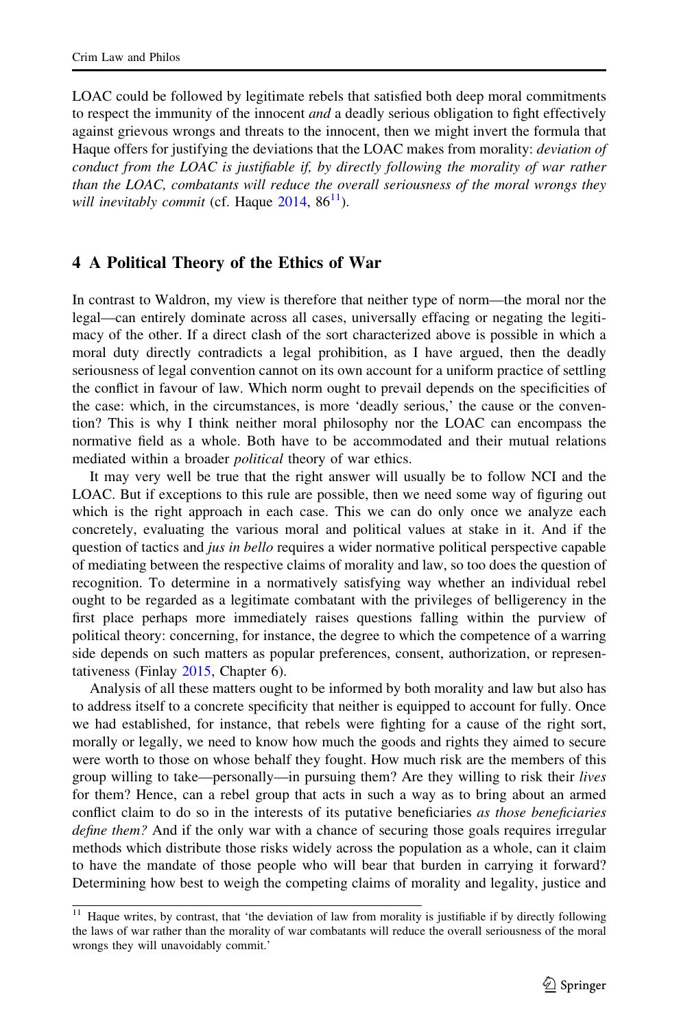<span id="page-15-0"></span>LOAC could be followed by legitimate rebels that satisfied both deep moral commitments to respect the immunity of the innocent *and* a deadly serious obligation to fight effectively against grievous wrongs and threats to the innocent, then we might invert the formula that Haque offers for justifying the deviations that the LOAC makes from morality: *deviation of* conduct from the LOAC is justifiable if, by directly following the morality of war rather than the LOAC, combatants will reduce the overall seriousness of the moral wrongs they will inevitably commit (cf. Haque  $2014$ ,  $86^{11}$ ).

### 4 A Political Theory of the Ethics of War

In contrast to Waldron, my view is therefore that neither type of norm—the moral nor the legal—can entirely dominate across all cases, universally effacing or negating the legitimacy of the other. If a direct clash of the sort characterized above is possible in which a moral duty directly contradicts a legal prohibition, as I have argued, then the deadly seriousness of legal convention cannot on its own account for a uniform practice of settling the conflict in favour of law. Which norm ought to prevail depends on the specificities of the case: which, in the circumstances, is more 'deadly serious,' the cause or the convention? This is why I think neither moral philosophy nor the LOAC can encompass the normative field as a whole. Both have to be accommodated and their mutual relations mediated within a broader *political* theory of war ethics.

It may very well be true that the right answer will usually be to follow NCI and the LOAC. But if exceptions to this rule are possible, then we need some way of figuring out which is the right approach in each case. This we can do only once we analyze each concretely, evaluating the various moral and political values at stake in it. And if the question of tactics and *jus in bello* requires a wider normative political perspective capable of mediating between the respective claims of morality and law, so too does the question of recognition. To determine in a normatively satisfying way whether an individual rebel ought to be regarded as a legitimate combatant with the privileges of belligerency in the first place perhaps more immediately raises questions falling within the purview of political theory: concerning, for instance, the degree to which the competence of a warring side depends on such matters as popular preferences, consent, authorization, or representativeness (Finlay [2015,](#page-16-0) Chapter 6).

Analysis of all these matters ought to be informed by both morality and law but also has to address itself to a concrete specificity that neither is equipped to account for fully. Once we had established, for instance, that rebels were fighting for a cause of the right sort, morally or legally, we need to know how much the goods and rights they aimed to secure were worth to those on whose behalf they fought. How much risk are the members of this group willing to take—personally—in pursuing them? Are they willing to risk their lives for them? Hence, can a rebel group that acts in such a way as to bring about an armed conflict claim to do so in the interests of its putative beneficiaries as those beneficiaries define them? And if the only war with a chance of securing those goals requires irregular methods which distribute those risks widely across the population as a whole, can it claim to have the mandate of those people who will bear that burden in carrying it forward? Determining how best to weigh the competing claims of morality and legality, justice and

<sup>&</sup>lt;sup>11</sup> Haque writes, by contrast, that 'the deviation of law from morality is justifiable if by directly following the laws of war rather than the morality of war combatants will reduce the overall seriousness of the moral wrongs they will unavoidably commit.'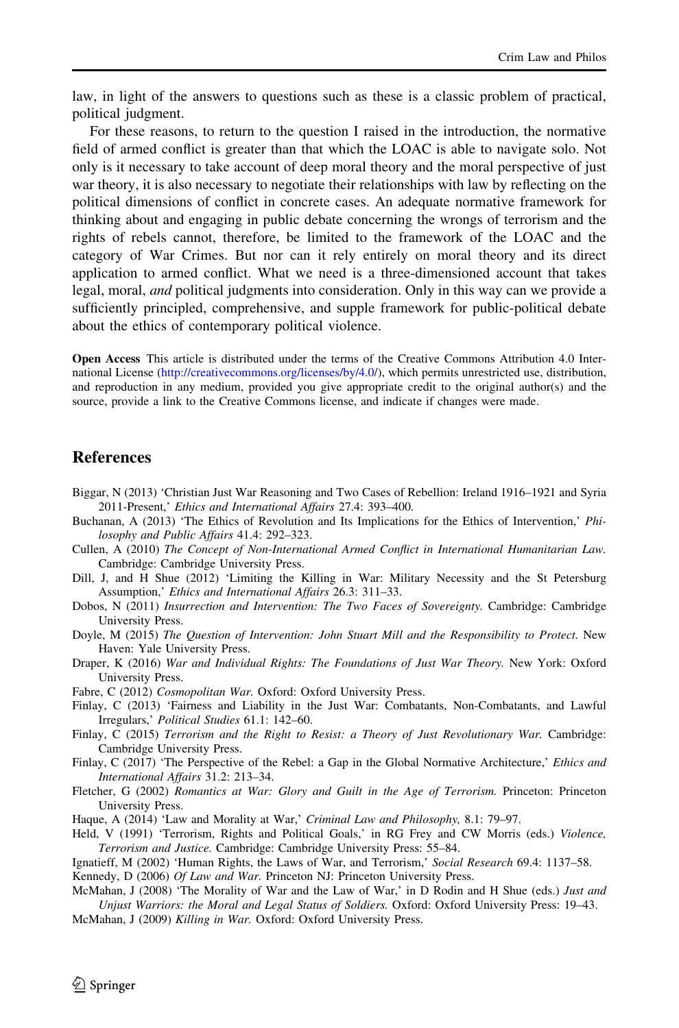<span id="page-16-0"></span>law, in light of the answers to questions such as these is a classic problem of practical, political judgment.

For these reasons, to return to the question I raised in the introduction, the normative field of armed conflict is greater than that which the LOAC is able to navigate solo. Not only is it necessary to take account of deep moral theory and the moral perspective of just war theory, it is also necessary to negotiate their relationships with law by reflecting on the political dimensions of conflict in concrete cases. An adequate normative framework for thinking about and engaging in public debate concerning the wrongs of terrorism and the rights of rebels cannot, therefore, be limited to the framework of the LOAC and the category of War Crimes. But nor can it rely entirely on moral theory and its direct application to armed conflict. What we need is a three-dimensioned account that takes legal, moral, *and* political judgments into consideration. Only in this way can we provide a sufficiently principled, comprehensive, and supple framework for public-political debate about the ethics of contemporary political violence.

Open Access This article is distributed under the terms of the Creative Commons Attribution 4.0 International License [\(http://creativecommons.org/licenses/by/4.0/\)](http://creativecommons.org/licenses/by/4.0/), which permits unrestricted use, distribution, and reproduction in any medium, provided you give appropriate credit to the original author(s) and the source, provide a link to the Creative Commons license, and indicate if changes were made.

### References

- Biggar, N (2013) 'Christian Just War Reasoning and Two Cases of Rebellion: Ireland 1916–1921 and Syria 2011-Present,' Ethics and International Affairs 27.4: 393–400.
- Buchanan, A (2013) 'The Ethics of Revolution and Its Implications for the Ethics of Intervention,' Philosophy and Public Affairs 41.4: 292–323.
- Cullen, A (2010) The Concept of Non-International Armed Conflict in International Humanitarian Law. Cambridge: Cambridge University Press.
- Dill, J, and H Shue (2012) 'Limiting the Killing in War: Military Necessity and the St Petersburg Assumption,' Ethics and International Affairs 26.3: 311–33.
- Dobos, N (2011) Insurrection and Intervention: The Two Faces of Sovereignty. Cambridge: Cambridge University Press.
- Doyle, M (2015) The Question of Intervention: John Stuart Mill and the Responsibility to Protect. New Haven: Yale University Press.
- Draper, K (2016) War and Individual Rights: The Foundations of Just War Theory. New York: Oxford University Press.
- Fabre, C (2012) Cosmopolitan War. Oxford: Oxford University Press.
- Finlay, C (2013) 'Fairness and Liability in the Just War: Combatants, Non-Combatants, and Lawful Irregulars,' Political Studies 61.1: 142–60.
- Finlay, C (2015) Terrorism and the Right to Resist: a Theory of Just Revolutionary War. Cambridge: Cambridge University Press.
- Finlay, C (2017) 'The Perspective of the Rebel: a Gap in the Global Normative Architecture,' Ethics and International Affairs 31.2: 213–34.
- Fletcher, G (2002) Romantics at War: Glory and Guilt in the Age of Terrorism. Princeton: Princeton University Press.
- Haque, A (2014) 'Law and Morality at War,' Criminal Law and Philosophy, 8.1: 79-97.
- Held, V (1991) 'Terrorism, Rights and Political Goals,' in RG Frey and CW Morris (eds.) Violence, Terrorism and Justice. Cambridge: Cambridge University Press: 55–84.
- Ignatieff, M (2002) 'Human Rights, the Laws of War, and Terrorism,' Social Research 69.4: 1137-58.

Kennedy, D (2006) Of Law and War. Princeton NJ: Princeton University Press.

McMahan, J (2008) 'The Morality of War and the Law of War,' in D Rodin and H Shue (eds.) Just and Unjust Warriors: the Moral and Legal Status of Soldiers. Oxford: Oxford University Press: 19–43.

McMahan, J (2009) Killing in War. Oxford: Oxford University Press.